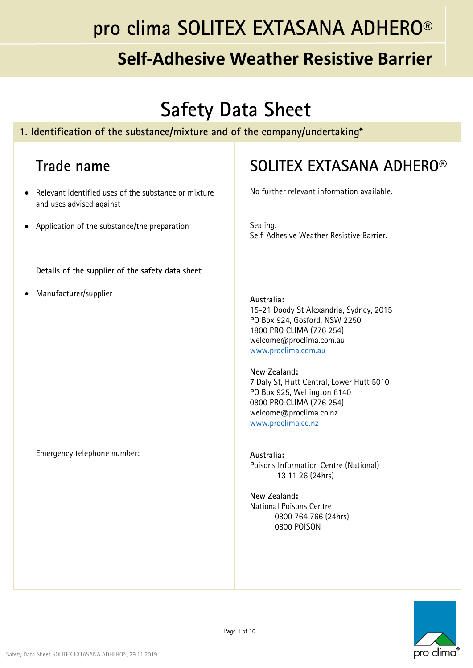## **Self‐Adhesive Weather Resistive Barrier**

# **Safety Data Sheet**

#### **1. Identification of the substance/mixture and of the company/undertaking\***

#### **Trade name**

- Relevant identified uses of the substance or mixture and uses advised against
- Application of the substance/the preparation

**Details of the supplier of the safety data sheet**

Manufacturer/supplier

#### **SOLITEX EXTASANA ADHERO®**

No further relevant information available.

Sealing. Self-Adhesive Weather Resistive Barrier.

#### **Australia:**

15-21 Doody St Alexandria, Sydney, 2015 PO Box 924, Gosford, NSW 2250 1800 PRO CLIMA (776 254) welcome@proclima.com.au www.proclima.com.au

#### **New Zealand:**

7 Daly St, Hutt Central, Lower Hutt 5010 PO Box 925, Wellington 6140 0800 PRO CLIMA (776 254) welcome@proclima.co.nz www.proclima.co.nz

**Australia:**  Poisons Information Centre (National) 13 11 26 (24hrs)

**New Zealand:**  National Poisons Centre 0800 764 766 (24hrs) 0800 POISON



Emergency telephone number: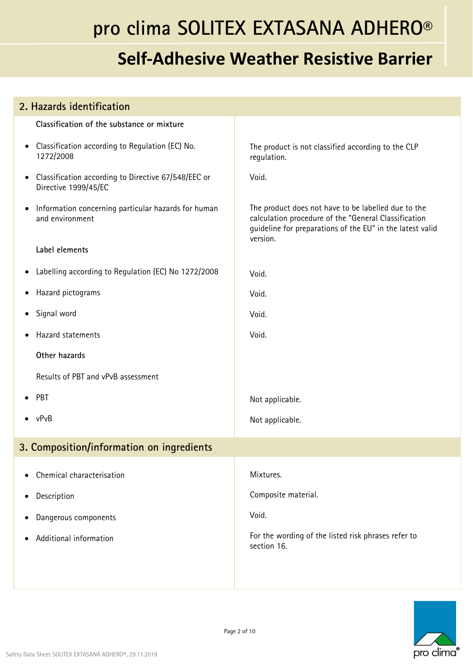| 2. Hazards identification                                                                |                                                                                                                                                                                      |
|------------------------------------------------------------------------------------------|--------------------------------------------------------------------------------------------------------------------------------------------------------------------------------------|
| Classification of the substance or mixture                                               |                                                                                                                                                                                      |
| Classification according to Regulation (EC) No.<br>$\bullet$<br>1272/2008                | The product is not classified according to the CLP<br>regulation.                                                                                                                    |
| Classification according to Directive 67/548/EEC or<br>$\bullet$<br>Directive 1999/45/EC | Void.                                                                                                                                                                                |
| Information concerning particular hazards for human<br>$\bullet$<br>and environment      | The product does not have to be labelled due to the<br>calculation procedure of the "General Classification<br>guideline for preparations of the EU" in the latest valid<br>version. |
| Label elements                                                                           |                                                                                                                                                                                      |
| Labelling according to Regulation (EC) No 1272/2008<br>$\bullet$                         | Void.                                                                                                                                                                                |
| Hazard pictograms<br>$\bullet$                                                           | Void.                                                                                                                                                                                |
| Signal word<br>$\bullet$                                                                 | Void.                                                                                                                                                                                |
| Hazard statements                                                                        | Void.                                                                                                                                                                                |
| Other hazards                                                                            |                                                                                                                                                                                      |
| Results of PBT and vPvB assessment                                                       |                                                                                                                                                                                      |
| PBT<br>$\bullet$                                                                         | Not applicable.                                                                                                                                                                      |
| vPvB                                                                                     | Not applicable.                                                                                                                                                                      |
| 3. Composition/information on ingredients                                                |                                                                                                                                                                                      |
| Chemical characterisation                                                                | Mixtures.                                                                                                                                                                            |
| Description<br>$\bullet$                                                                 | Composite material.                                                                                                                                                                  |
| Dangerous components<br>$\bullet$                                                        | Void.                                                                                                                                                                                |
| Additional information                                                                   | For the wording of the listed risk phrases refer to<br>section 16.                                                                                                                   |
|                                                                                          |                                                                                                                                                                                      |

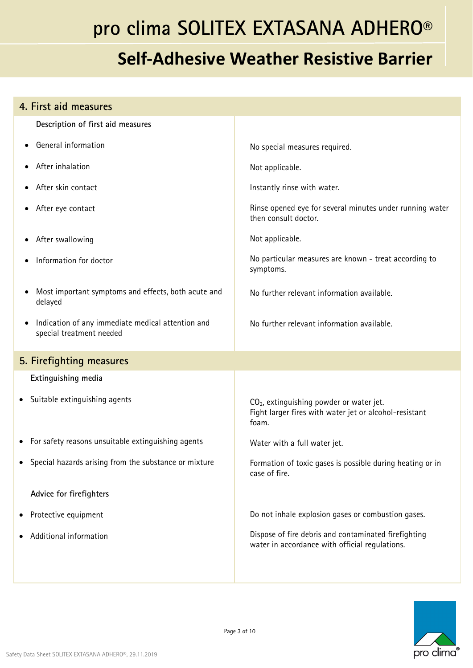| 4. First aid measures                                                         |                                                                                                                         |
|-------------------------------------------------------------------------------|-------------------------------------------------------------------------------------------------------------------------|
| Description of first aid measures                                             |                                                                                                                         |
| General information                                                           | No special measures required.                                                                                           |
| After inhalation                                                              | Not applicable.                                                                                                         |
| After skin contact                                                            | Instantly rinse with water.                                                                                             |
| After eye contact                                                             | Rinse opened eye for several minutes under running water<br>then consult doctor.                                        |
| After swallowing                                                              | Not applicable.                                                                                                         |
| Information for doctor                                                        | No particular measures are known - treat according to<br>symptoms.                                                      |
| Most important symptoms and effects, both acute and<br>delayed                | No further relevant information available.                                                                              |
| Indication of any immediate medical attention and<br>special treatment needed | No further relevant information available.                                                                              |
| 5. Firefighting measures                                                      |                                                                                                                         |
| Extinguishing media                                                           |                                                                                                                         |
| Suitable extinguishing agents<br>٠                                            | CO <sub>2</sub> , extinguishing powder or water jet.<br>Fight larger fires with water jet or alcohol-resistant<br>foam. |
| • For safety reasons unsuitable extinguishing agents                          | Water with a full water jet.                                                                                            |
| Special hazards arising from the substance or mixture                         | Formation of toxic gases is possible during heating or in<br>case of fire.                                              |
| Advice for firefighters                                                       |                                                                                                                         |
| Protective equipment                                                          | Do not inhale explosion gases or combustion gases.                                                                      |
| Additional information                                                        | Dispose of fire debris and contaminated firefighting<br>water in accordance with official regulations.                  |
|                                                                               |                                                                                                                         |

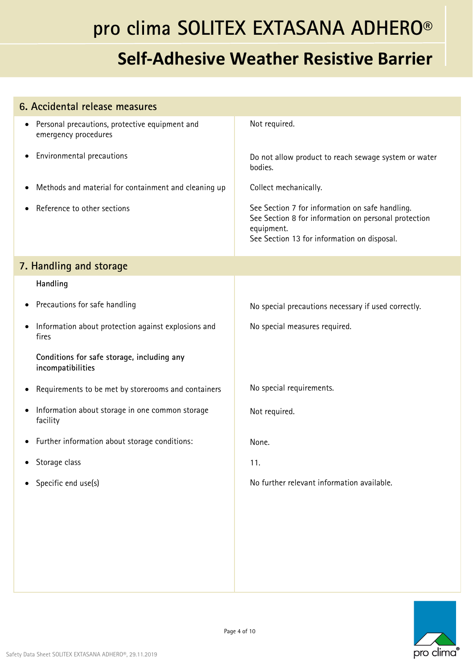| 6. Accidental release measures                                                      |                                                                                                                                                                      |
|-------------------------------------------------------------------------------------|----------------------------------------------------------------------------------------------------------------------------------------------------------------------|
| Personal precautions, protective equipment and<br>$\bullet$<br>emergency procedures | Not required.                                                                                                                                                        |
| Environmental precautions<br>$\bullet$                                              | Do not allow product to reach sewage system or water<br>bodies.                                                                                                      |
| Methods and material for containment and cleaning up<br>$\bullet$                   | Collect mechanically.                                                                                                                                                |
| Reference to other sections                                                         | See Section 7 for information on safe handling.<br>See Section 8 for information on personal protection<br>equipment.<br>See Section 13 for information on disposal. |
| 7. Handling and storage                                                             |                                                                                                                                                                      |
| Handling                                                                            |                                                                                                                                                                      |
| Precautions for safe handling<br>٠                                                  | No special precautions necessary if used correctly.                                                                                                                  |
| Information about protection against explosions and<br>fires                        | No special measures required.                                                                                                                                        |
| Conditions for safe storage, including any<br>incompatibilities                     |                                                                                                                                                                      |
| Requirements to be met by storerooms and containers<br>٠                            | No special requirements.                                                                                                                                             |
| Information about storage in one common storage<br>$\bullet$<br>facility            | Not required.                                                                                                                                                        |
| Further information about storage conditions:<br>$\bullet$                          | None.                                                                                                                                                                |
| Storage class                                                                       | 11.                                                                                                                                                                  |
| Specific end use(s)<br>$\bullet$                                                    | No further relevant information available.                                                                                                                           |
|                                                                                     |                                                                                                                                                                      |

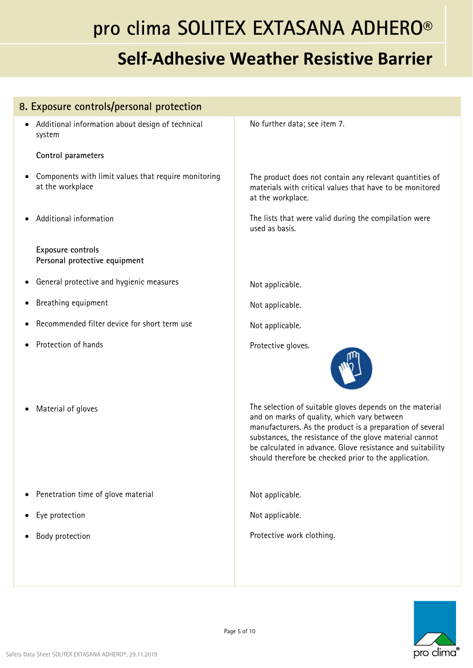| 8. Exposure controls/personal protection                                      |                                                                                                                                                                                                                                                                                                                                                        |
|-------------------------------------------------------------------------------|--------------------------------------------------------------------------------------------------------------------------------------------------------------------------------------------------------------------------------------------------------------------------------------------------------------------------------------------------------|
| Additional information about design of technical<br>system                    | No further data; see item 7.                                                                                                                                                                                                                                                                                                                           |
| Control parameters                                                            |                                                                                                                                                                                                                                                                                                                                                        |
| Components with limit values that require monitoring<br>٠<br>at the workplace | The product does not contain any relevant quantities of<br>materials with critical values that have to be monitored<br>at the workplace.                                                                                                                                                                                                               |
| Additional information                                                        | The lists that were valid during the compilation were<br>used as basis.                                                                                                                                                                                                                                                                                |
| Exposure controls<br>Personal protective equipment                            |                                                                                                                                                                                                                                                                                                                                                        |
| General protective and hygienic measures                                      | Not applicable.                                                                                                                                                                                                                                                                                                                                        |
| Breathing equipment                                                           | Not applicable.                                                                                                                                                                                                                                                                                                                                        |
| Recommended filter device for short term use                                  | Not applicable.                                                                                                                                                                                                                                                                                                                                        |
| Protection of hands                                                           | Protective gloves.                                                                                                                                                                                                                                                                                                                                     |
| Material of gloves                                                            | The selection of suitable gloves depends on the material<br>and on marks of quality, which vary between<br>manufacturers. As the product is a preparation of several<br>substances, the resistance of the glove material cannot<br>be calculated in advance. Glove resistance and suitability<br>should therefore be checked prior to the application. |
| Penetration time of glove material                                            | Not applicable.                                                                                                                                                                                                                                                                                                                                        |
| Eye protection                                                                | Not applicable.                                                                                                                                                                                                                                                                                                                                        |
| Body protection                                                               | Protective work clothing.                                                                                                                                                                                                                                                                                                                              |
|                                                                               |                                                                                                                                                                                                                                                                                                                                                        |
|                                                                               |                                                                                                                                                                                                                                                                                                                                                        |

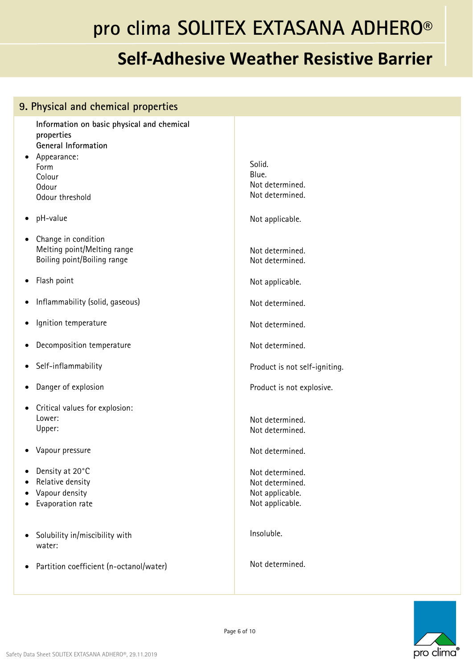| 9. Physical and chemical properties                                                                                                          |                                                                          |  |
|----------------------------------------------------------------------------------------------------------------------------------------------|--------------------------------------------------------------------------|--|
| Information on basic physical and chemical<br>properties<br>General Information<br>Appearance:<br>Form<br>Colour<br>Odour<br>Odour threshold | Solid.<br>Blue.<br>Not determined.<br>Not determined.                    |  |
| pH-value<br>$\bullet$                                                                                                                        | Not applicable.                                                          |  |
| Change in condition<br>٠<br>Melting point/Melting range<br>Boiling point/Boiling range                                                       | Not determined.<br>Not determined.                                       |  |
| Flash point<br>$\bullet$                                                                                                                     | Not applicable.                                                          |  |
| Inflammability (solid, gaseous)<br>٠                                                                                                         | Not determined.                                                          |  |
| Ignition temperature<br>$\bullet$                                                                                                            | Not determined.                                                          |  |
| Decomposition temperature<br>$\bullet$                                                                                                       | Not determined.                                                          |  |
| Self-inflammability<br>٠                                                                                                                     | Product is not self-igniting.                                            |  |
| Danger of explosion<br>$\bullet$                                                                                                             | Product is not explosive.                                                |  |
| Critical values for explosion:<br>٠<br>Lower:<br>Upper:                                                                                      | Not determined.<br>Not determined.                                       |  |
| Vapour pressure                                                                                                                              | Not determined.                                                          |  |
| Density at 20°C<br>$\bullet$<br>Relative density<br>٠<br>Vapour density<br>$\bullet$<br>Evaporation rate                                     | Not determined.<br>Not determined.<br>Not applicable.<br>Not applicable. |  |
| Solubility in/miscibility with<br>$\bullet$<br>water:                                                                                        | Insoluble.                                                               |  |
| Partition coefficient (n-octanol/water)<br>$\bullet$                                                                                         | Not determined.                                                          |  |

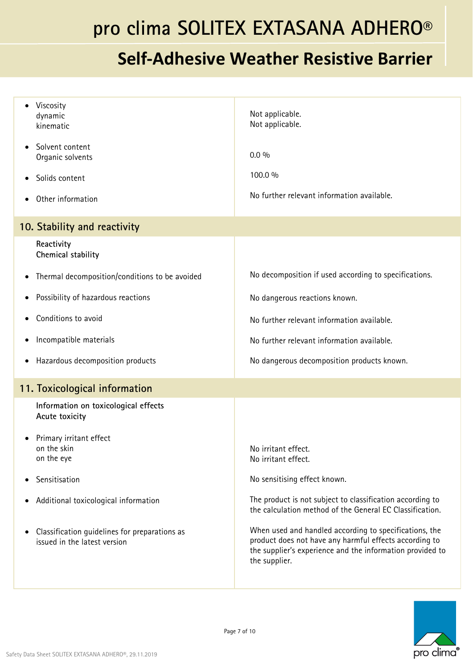| Viscosity<br>dynamic<br>kinematic                                             | Not applicable.<br>Not applicable.                                                                                                                                                             |
|-------------------------------------------------------------------------------|------------------------------------------------------------------------------------------------------------------------------------------------------------------------------------------------|
| Solvent content<br>Organic solvents                                           | $0.0\%$                                                                                                                                                                                        |
| Solids content                                                                | 100.0 %                                                                                                                                                                                        |
| Other information                                                             | No further relevant information available.                                                                                                                                                     |
| 10. Stability and reactivity                                                  |                                                                                                                                                                                                |
| Reactivity<br>Chemical stability                                              |                                                                                                                                                                                                |
| Thermal decomposition/conditions to be avoided<br>$\bullet$                   | No decomposition if used according to specifications.                                                                                                                                          |
| Possibility of hazardous reactions                                            | No dangerous reactions known.                                                                                                                                                                  |
| Conditions to avoid                                                           | No further relevant information available.                                                                                                                                                     |
| Incompatible materials<br>$\bullet$                                           | No further relevant information available.                                                                                                                                                     |
| Hazardous decomposition products<br>$\bullet$                                 | No dangerous decomposition products known.                                                                                                                                                     |
| 11. Toxicological information                                                 |                                                                                                                                                                                                |
| Information on toxicological effects<br>Acute toxicity                        |                                                                                                                                                                                                |
| Primary irritant effect<br>on the skin<br>on the eye                          | No irritant effect.<br>No irritant effect.                                                                                                                                                     |
| Sensitisation                                                                 | No sensitising effect known.                                                                                                                                                                   |
| Additional toxicological information<br>$\bullet$                             | The product is not subject to classification according to<br>the calculation method of the General EC Classification.                                                                          |
| Classification guidelines for preparations as<br>issued in the latest version | When used and handled according to specifications, the<br>product does not have any harmful effects according to<br>the supplier's experience and the information provided to<br>the supplier. |

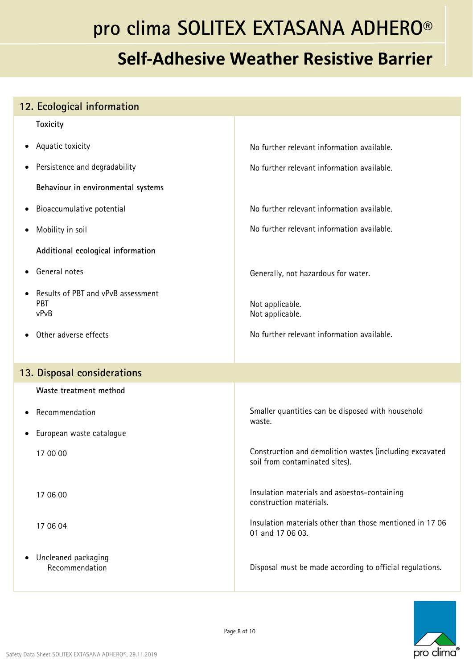## **Self‐Adhesive Weather Resistive Barrier**

#### **Toxicity** Aquatic toxicity • Persistence and degradability **Behaviour in environmental systems**  Bioaccumulative potential Mobility in soil **Additional ecological information**  General notes Results of PBT and vPvB assessment PBT vPvB Other adverse effects No further relevant information available. No further relevant information available. No further relevant information available. No further relevant information available. Generally, not hazardous for water. Not applicable. Not applicable. No further relevant information available. **13. Disposal considerations Waste treatment method** Recommendation European waste catalogue 17 00 00 17 06 00 17 06 04 Uncleaned packaging Recommendation Smaller quantities can be disposed with household waste. Construction and demolition wastes (including excavated soil from contaminated sites). Insulation materials and asbestos-containing construction materials. Insulation materials other than those mentioned in 17 06 01 and 17 06 03. Disposal must be made according to official regulations.



**12. Ecological information**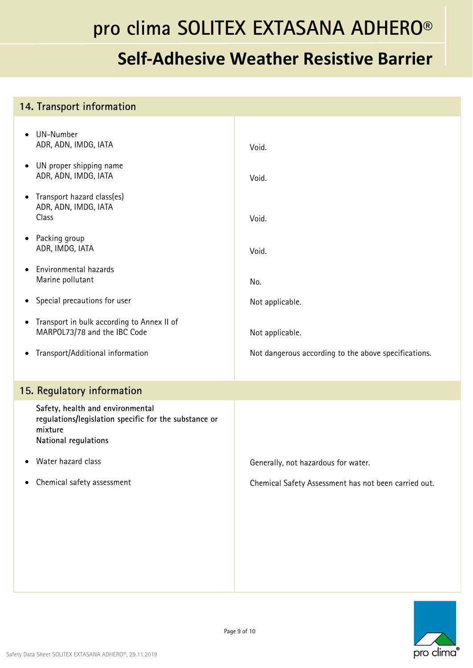## **Self‐Adhesive Weather Resistive Barrier**

#### **14. Transport information**  UN-Number ADR, ADN, IMDG, IATA UN proper shipping name ADR, ADN, IMDG, IATA • Transport hazard class(es) ADR, ADN, IMDG, IATA Class • Packing group ADR, IMDG, IATA Environmental hazards Marine pollutant Special precautions for user • Transport in bulk according to Annex II of MARPOL73/78 and the IBC Code Transport/Additional information Void. Void. Void. Void. No. Not applicable. Not applicable. Not dangerous according to the above specifications. **15. Regulatory information Safety, health and environmental regulations/legislation specific for the substance or mixture National regulations**  Water hazard class Chemical safety assessment Generally, not hazardous for water. Chemical Safety Assessment has not been carried out.